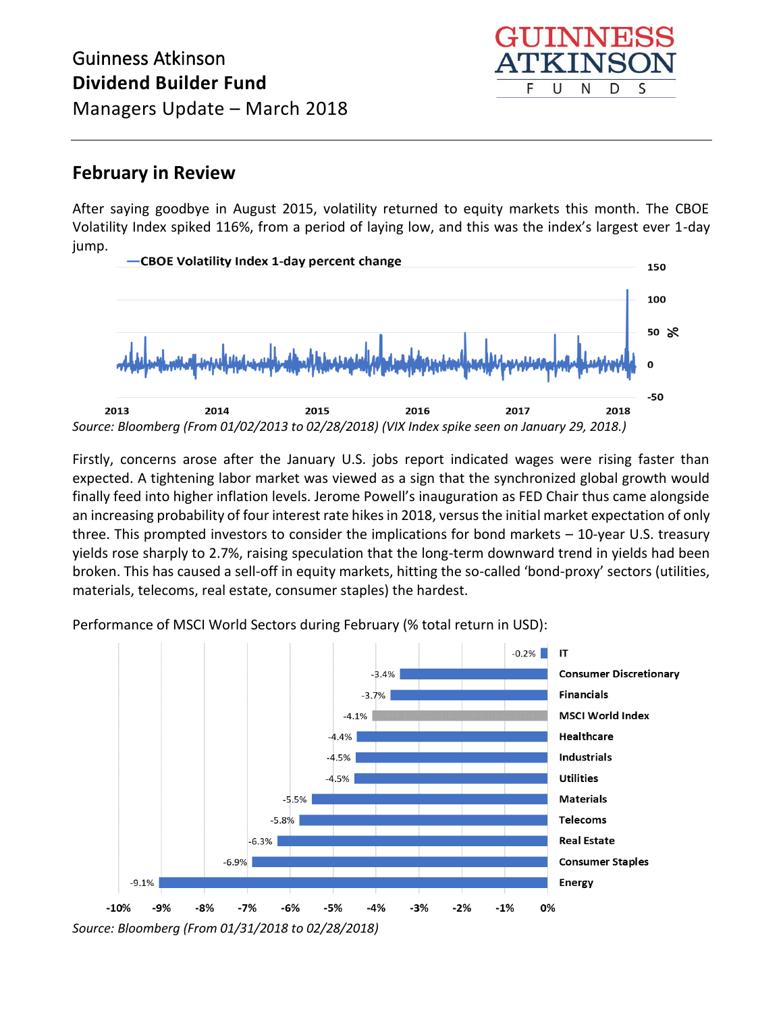# Guinness Atkinson **Dividend Builder Fund**



Managers Update – March 2018

#### **February in Review**

After saying goodbye in August 2015, volatility returned to equity markets this month. The CBOE Volatility Index spiked 116%, from a period of laying low, and this was the index's largest ever 1-day jump.



Firstly, concerns arose after the January U.S. jobs report indicated wages were rising faster than expected. A tightening labor market was viewed as a sign that the synchronized global growth would finally feed into higher inflation levels. Jerome Powell's inauguration as FED Chair thus came alongside an increasing probability of four interest rate hikes in 2018, versus the initial market expectation of only three. This prompted investors to consider the implications for bond markets – 10-year U.S. treasury yields rose sharply to 2.7%, raising speculation that the long-term downward trend in yields had been broken. This has caused a sell-off in equity markets, hitting the so-called 'bond-proxy' sectors (utilities, materials, telecoms, real estate, consumer staples) the hardest.

Performance of MSCI World Sectors during February (% total return in USD):

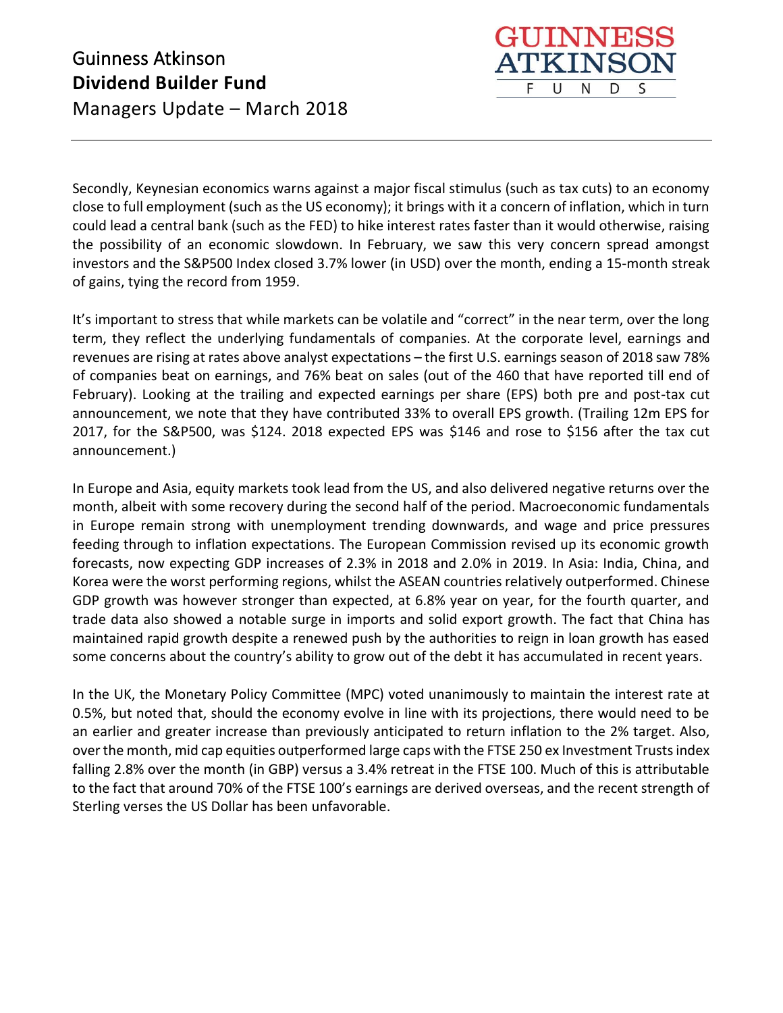

Secondly, Keynesian economics warns against a major fiscal stimulus (such as tax cuts) to an economy close to full employment (such as the US economy); it brings with it a concern of inflation, which in turn could lead a central bank (such as the FED) to hike interest rates faster than it would otherwise, raising the possibility of an economic slowdown. In February, we saw this very concern spread amongst investors and the S&P500 Index closed 3.7% lower (in USD) over the month, ending a 15-month streak of gains, tying the record from 1959.

It's important to stress that while markets can be volatile and "correct" in the near term, over the long term, they reflect the underlying fundamentals of companies. At the corporate level, earnings and revenues are rising at rates above analyst expectations – the first U.S. earnings season of 2018 saw 78% of companies beat on earnings, and 76% beat on sales (out of the 460 that have reported till end of February). Looking at the trailing and expected earnings per share (EPS) both pre and post-tax cut announcement, we note that they have contributed 33% to overall EPS growth. (Trailing 12m EPS for 2017, for the S&P500, was \$124. 2018 expected EPS was \$146 and rose to \$156 after the tax cut announcement.)

In Europe and Asia, equity markets took lead from the US, and also delivered negative returns over the month, albeit with some recovery during the second half of the period. Macroeconomic fundamentals in Europe remain strong with unemployment trending downwards, and wage and price pressures feeding through to inflation expectations. The European Commission revised up its economic growth forecasts, now expecting GDP increases of 2.3% in 2018 and 2.0% in 2019. In Asia: India, China, and Korea were the worst performing regions, whilst the ASEAN countries relatively outperformed. Chinese GDP growth was however stronger than expected, at 6.8% year on year, for the fourth quarter, and trade data also showed a notable surge in imports and solid export growth. The fact that China has maintained rapid growth despite a renewed push by the authorities to reign in loan growth has eased some concerns about the country's ability to grow out of the debt it has accumulated in recent years.

In the UK, the Monetary Policy Committee (MPC) voted unanimously to maintain the interest rate at 0.5%, but noted that, should the economy evolve in line with its projections, there would need to be an earlier and greater increase than previously anticipated to return inflation to the 2% target. Also, over the month, mid cap equities outperformed large caps with the FTSE 250 ex Investment Trusts index falling 2.8% over the month (in GBP) versus a 3.4% retreat in the FTSE 100. Much of this is attributable to the fact that around 70% of the FTSE 100's earnings are derived overseas, and the recent strength of Sterling verses the US Dollar has been unfavorable.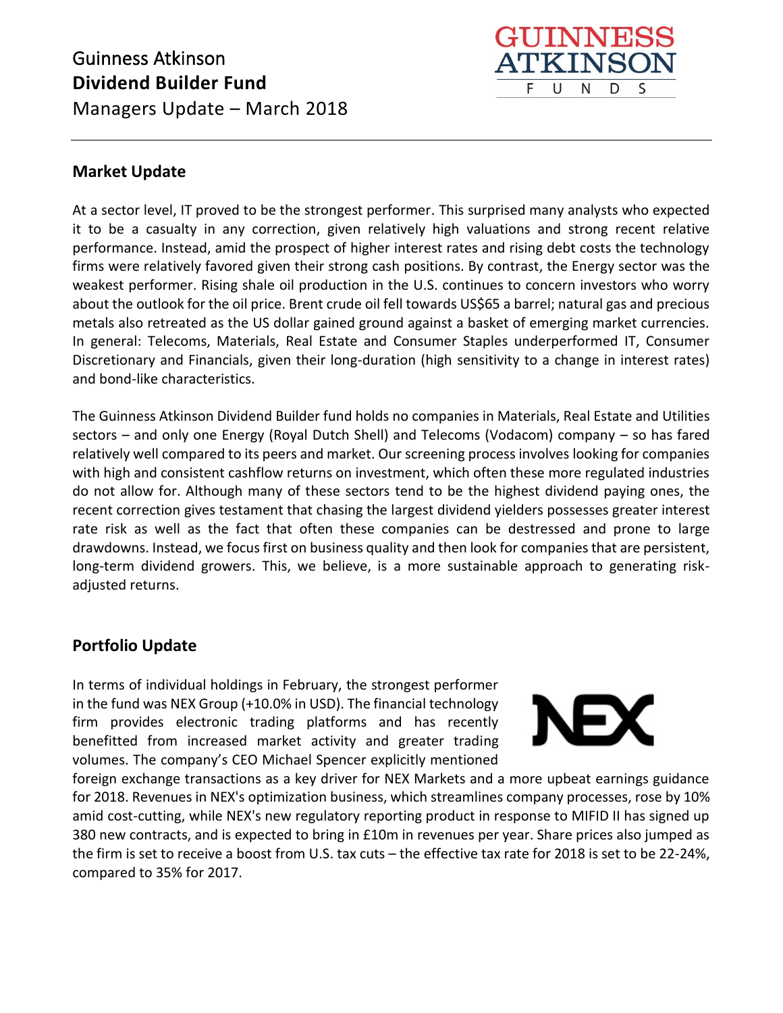### Guinness Atkinson **Dividend Builder Fund**  Managers Update – March 2018



#### **Market Update**

At a sector level, IT proved to be the strongest performer. This surprised many analysts who expected it to be a casualty in any correction, given relatively high valuations and strong recent relative performance. Instead, amid the prospect of higher interest rates and rising debt costs the technology firms were relatively favored given their strong cash positions. By contrast, the Energy sector was the weakest performer. Rising shale oil production in the U.S. continues to concern investors who worry about the outlook for the oil price. Brent crude oil fell towards US\$65 a barrel; natural gas and precious metals also retreated as the US dollar gained ground against a basket of emerging market currencies. In general: Telecoms, Materials, Real Estate and Consumer Staples underperformed IT, Consumer Discretionary and Financials, given their long-duration (high sensitivity to a change in interest rates) and bond-like characteristics.

The Guinness Atkinson Dividend Builder fund holds no companies in Materials, Real Estate and Utilities sectors – and only one Energy (Royal Dutch Shell) and Telecoms (Vodacom) company – so has fared relatively well compared to its peers and market. Our screening process involves looking for companies with high and consistent cashflow returns on investment, which often these more regulated industries do not allow for. Although many of these sectors tend to be the highest dividend paying ones, the recent correction gives testament that chasing the largest dividend yielders possesses greater interest rate risk as well as the fact that often these companies can be destressed and prone to large drawdowns. Instead, we focus first on business quality and then look for companies that are persistent, long-term dividend growers. This, we believe, is a more sustainable approach to generating riskadjusted returns.

#### **Portfolio Update**

In terms of individual holdings in February, the strongest performer in the fund was NEX Group (+10.0% in USD). The financial technology firm provides electronic trading platforms and has recently benefitted from increased market activity and greater trading volumes. The company's CEO Michael Spencer explicitly mentioned



foreign exchange transactions as a key driver for NEX Markets and a more upbeat earnings guidance for 2018. Revenues in NEX's optimization business, which streamlines company processes, rose by 10% amid cost-cutting, while NEX's new regulatory reporting product in response to MIFID II has signed up 380 new contracts, and is expected to bring in £10m in revenues per year. Share prices also jumped as the firm is set to receive a boost from U.S. tax cuts – the effective tax rate for 2018 is set to be 22-24%, compared to 35% for 2017.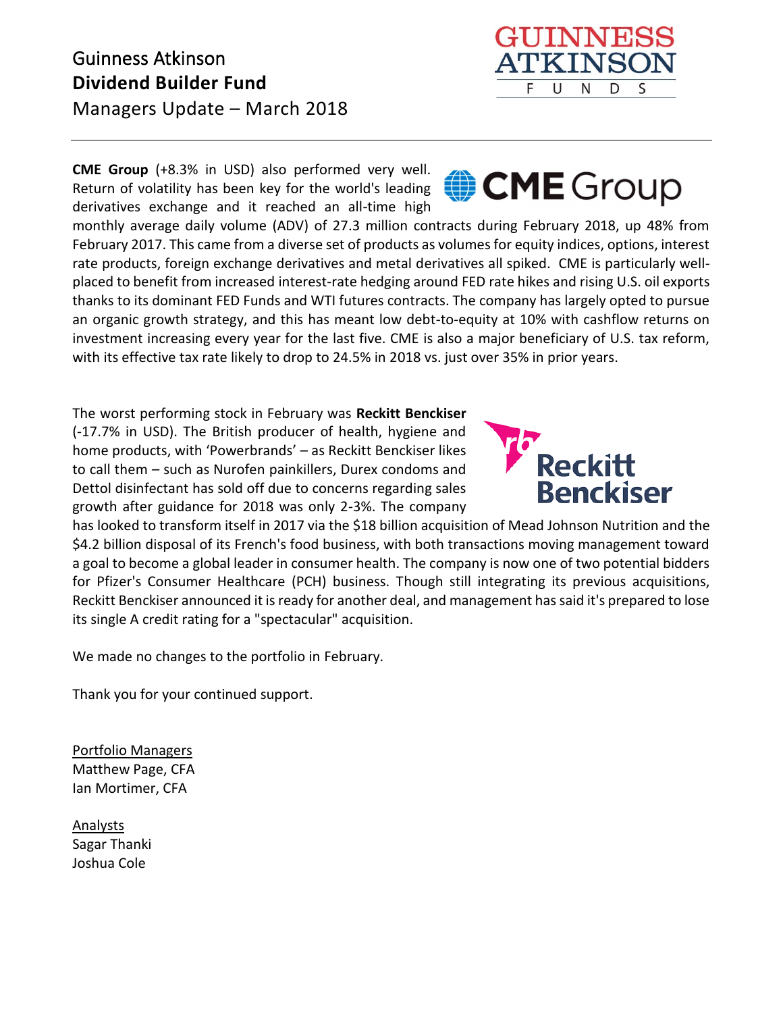## Guinness Atkinson **Dividend Builder Fund**

Managers Update – March 2018

**CME Group** (+8.3% in USD) also performed very well. Return of volatility has been key for the world's leading derivatives exchange and it reached an all-time high

monthly average daily volume (ADV) of 27.3 million contracts during February 2018, up 48% from February 2017. This came from a diverse set of products as volumes for equity indices, options, interest rate products, foreign exchange derivatives and metal derivatives all spiked. CME is particularly wellplaced to benefit from increased interest-rate hedging around FED rate hikes and rising U.S. oil exports thanks to its dominant FED Funds and WTI futures contracts. The company has largely opted to pursue an organic growth strategy, and this has meant low debt-to-equity at 10% with cashflow returns on investment increasing every year for the last five. CME is also a major beneficiary of U.S. tax reform, with its effective tax rate likely to drop to 24.5% in 2018 vs. just over 35% in prior years.

The worst performing stock in February was **Reckitt Benckiser**  (-17.7% in USD). The British producer of health, hygiene and home products, with 'Powerbrands' – as Reckitt Benckiser likes to call them – such as Nurofen painkillers, Durex condoms and Dettol disinfectant has sold off due to concerns regarding sales growth after guidance for 2018 was only 2-3%. The company

has looked to transform itself in 2017 via the \$18 billion acquisition of Mead Johnson Nutrition and the \$4.2 billion disposal of its French's food business, with both transactions moving management toward a goal to become a global leader in consumer health. The company is now one of two potential bidders for Pfizer's Consumer Healthcare (PCH) business. Though still integrating its previous acquisitions, Reckitt Benckiser announced it is ready for another deal, and management has said it's prepared to lose its single A credit rating for a "spectacular" acquisition.

We made no changes to the portfolio in February.

Thank you for your continued support.

Portfolio Managers Matthew Page, CFA Ian Mortimer, CFA

Analysts Sagar Thanki Joshua Cole





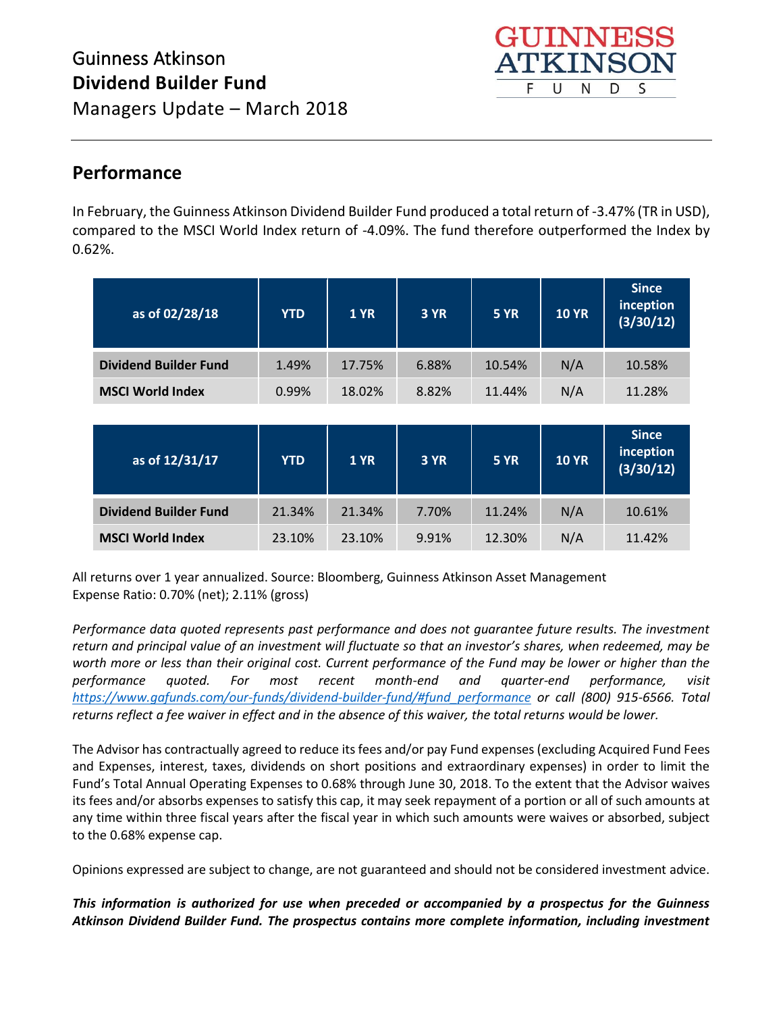

## Managers Update – March 2018

### **Performance**

In February, the Guinness Atkinson Dividend Builder Fund produced a total return of -3.47% (TR in USD), compared to the MSCI World Index return of -4.09%. The fund therefore outperformed the Index by 0.62%.

| as of 02/28/18               | <b>YTD</b> | <b>1 YR</b> | 3 YR  | <b>5 YR</b> | <b>10 YR</b> | <b>Since</b><br>inception<br>(3/30/12) |
|------------------------------|------------|-------------|-------|-------------|--------------|----------------------------------------|
| <b>Dividend Builder Fund</b> | 1.49%      | 17.75%      | 6.88% | 10.54%      | N/A          | 10.58%                                 |
| <b>MSCI World Index</b>      | 0.99%      | 18.02%      | 8.82% | 11.44%      | N/A          | 11.28%                                 |
|                              |            |             |       |             |              |                                        |
| as of 12/31/17               | <b>YTD</b> | <b>1 YR</b> | 3 YR  | <b>5 YR</b> | <b>10 YR</b> | <b>Since</b><br>inception<br>(3/30/12) |
|                              |            |             |       |             |              |                                        |
| <b>Dividend Builder Fund</b> | 21.34%     | 21.34%      | 7.70% | 11.24%      | N/A          | 10.61%                                 |

All returns over 1 year annualized. Source: Bloomberg, Guinness Atkinson Asset Management Expense Ratio: 0.70% (net); 2.11% (gross)

*Performance data quoted represents past performance and does not guarantee future results. The investment return and principal value of an investment will fluctuate so that an investor's shares, when redeemed, may be worth more or less than their original cost. Current performance of the Fund may be lower or higher than the performance quoted. For most recent month-end and quarter-end performance, visit [https://www.gafunds.com/our-funds/dividend-builder-fund/#fund\\_performance](https://www.gafunds.com/our-funds/dividend-builder-fund/#fund_performance) or call (800) 915-6566. Total returns reflect a fee waiver in effect and in the absence of this waiver, the total returns would be lower.* 

The Advisor has contractually agreed to reduce its fees and/or pay Fund expenses (excluding Acquired Fund Fees and Expenses, interest, taxes, dividends on short positions and extraordinary expenses) in order to limit the Fund's Total Annual Operating Expenses to 0.68% through June 30, 2018. To the extent that the Advisor waives its fees and/or absorbs expenses to satisfy this cap, it may seek repayment of a portion or all of such amounts at any time within three fiscal years after the fiscal year in which such amounts were waives or absorbed, subject to the 0.68% expense cap.

Opinions expressed are subject to change, are not guaranteed and should not be considered investment advice.

*This information is authorized for use when preceded or accompanied by a prospectus for the Guinness Atkinson Dividend Builder Fund. The prospectus contains more complete information, including investment*